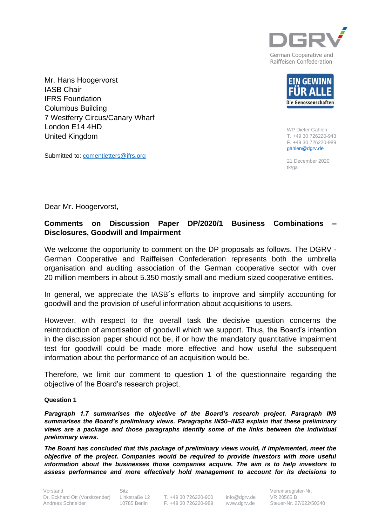

Raiffeisen Confederation

Mr. Hans Hoogervorst IASB Chair IFRS Foundation Columbus Building 7 Westferry Circus/Canary Wharf London E14 4HD United Kingdom

Submitted to: [comentletters@ifrs.org](mailto:comentletters@ifrs.org)



WP Dieter Gahlen T. +49 30 726220-943 F. +49 30 726220-989 [gahlen@dgrv.de](mailto:gahlen@dgrv.de)

21 December 2020 tk/ga

Dear Mr. Hoogervorst,

## **Comments on Discussion Paper DP/2020/1 Business Combinations – Disclosures, Goodwill and Impairment**

We welcome the opportunity to comment on the DP proposals as follows. The DGRV -German Cooperative and Raiffeisen Confederation represents both the umbrella organisation and auditing association of the German cooperative sector with over 20 million members in about 5.350 mostly small and medium sized cooperative entities.

In general, we appreciate the IASB´s efforts to improve and simplify accounting for goodwill and the provision of useful information about acquisitions to users.

However, with respect to the overall task the decisive question concerns the reintroduction of amortisation of goodwill which we support. Thus, the Board's intention in the discussion paper should not be, if or how the mandatory quantitative impairment test for goodwill could be made more effective and how useful the subsequent information about the performance of an acquisition would be.

Therefore, we limit our comment to question 1 of the questionnaire regarding the objective of the Board's research project.

## **Question 1**

*Paragraph 1.7 summarises the objective of the Board's research project. Paragraph IN9 summarises the Board's preliminary views. Paragraphs IN50–IN53 explain that these preliminary views are a package and those paragraphs identify some of the links between the individual preliminary views.*

*The Board has concluded that this package of preliminary views would, if implemented, meet the objective of the project. Companies would be required to provide investors with more useful information about the businesses those companies acquire. The aim is to help investors to assess performance and more effectively hold management to account for its decisions to* 

Vorstand Dr. Eckhard Ott (Vorsitzender) Andreas Schneider

Sitz Linkstraße 12 10785 Berlin

T. +49 30 726220-900 F. +49 30 726220-989

[info@dgrv.de](mailto:info@dgrv.de) www.dgrv.de